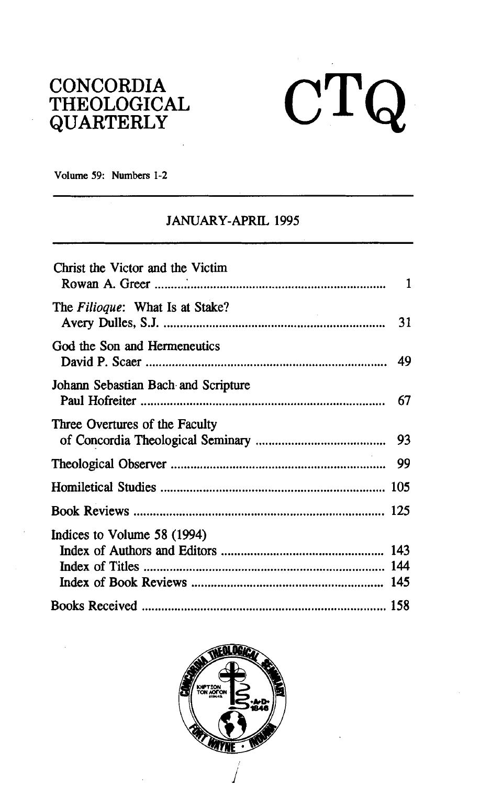## CONCORDIA THEOLOGICAL QUARTERLY

# $CTQ$

**Volume 59: Numbers 1-2** 

### JANUARY-APRIL **1995**

| Christ the Victor and the Victim    | 1    |
|-------------------------------------|------|
| The Filioque: What Is at Stake?     |      |
| God the Son and Hermeneutics        |      |
| Johann Sebastian Bach and Scripture | 67   |
| Three Overtures of the Faculty      |      |
|                                     | - 99 |
|                                     |      |
|                                     |      |
| Indices to Volume 58 (1994)         |      |
|                                     |      |

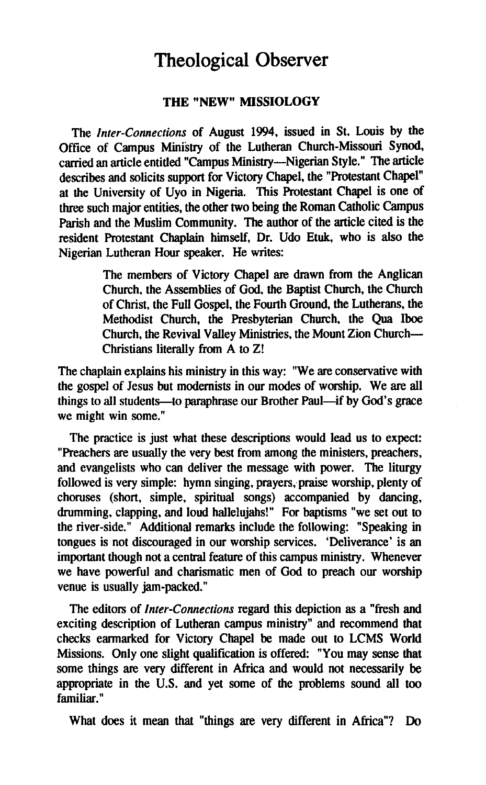## Theological Observer

#### **THE "NEW" MISSIOLOCY**

The *Inter-Connections* of August *1994,* issued in St. Louis by the Office of Campus Ministry of the Lutheran Church-Missouri Synod, carried an article entitled "Campus Ministry-Nigerian Style." The article describes and solicits support for Victory Chapel, the "Protestant Chapel" at the University of Uyo in Nigeria. This Protestant Chapel is one of three such major entities, the other two being the Roman Catholic Campus Parish and the Muslim Community. The author of the article cited is the resident Protestant Chaplain himself, Dr. Udo Etuk, who is also the Nigerian Lutheran Hour speaker. He writes:

> The members of Victory Chapel **are** drawn from the Anglican Church, the Assemblies of God, the Baptist Church, the Church of Christ, the Full Gospel, the Fourth Ground, the Lutherans, the Methodist Church, the Presbyterian Church, the Qua **Iboe**  Church, the Revival Valley Ministries, the Mount Zion Church-Christians literally from A to Z!

The chaplain explains his ministry in this way: "We **are** conservative with the gospel of Jesus but modernists in our modes of worship. We are all things to all students—to paraphrase our Brother Paul—if by God's grace we might win some."

The practice is just what these descriptions would lead us to expect: "Preachers are usually the very best from among the ministers, preachers, and evangelists who can deliver the message with power. The liturgy followed is very simple: hymn singing, prayers, praise worship, plenty of choruses (short, simple, spiritual songs) accompanied by dancing, drumming, clapping, and loud hallelujahs!" For baptisms "we set out to the river-side." Additional remarks include the following: "Speaking in tongues is not discouraged in our worship services. 'Deliverance' is an important though not a central feature of this campus ministry. Whenever we have powerful and charismatic men of God to preach our worship venue is usually jam-packed."

The editors of *Inter-Connections* regard this depiction as a "fresh and exciting description of Lutheran campus ministry" and recommend that checks earmarked for Victory Chapel be made out to LCMS World Missions. Only one slight qualification is offered: "You may sense that some things **are** very different in Africa and would not necessarily be appropriate in the U.S. and yet some of the problems sound all too familiar."

What does it mean that "things are very different in Africa"? Do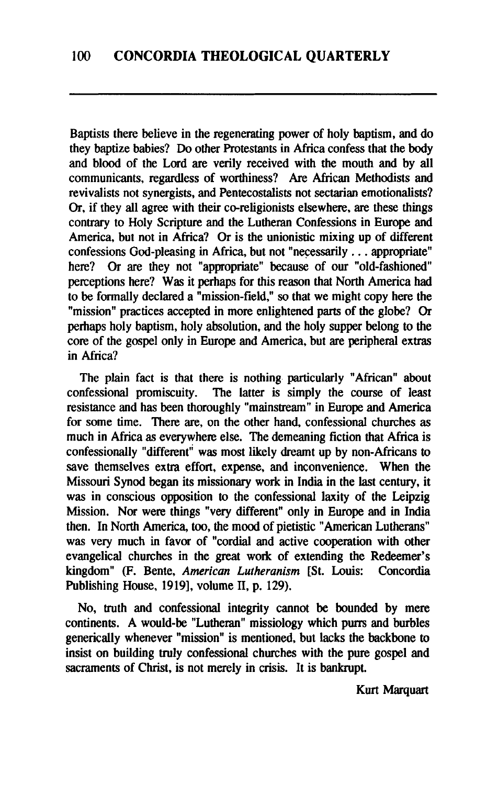Baptists there believe in the regenerating power of holy baptism, and do they baptize babies? Do other Protestants in Africa confess that the body and blood of the Lord **are** verily received with the mouth and by all communicants, regardless of worthiness? Are African Methodists and revivalists not synergists, and Pentecostalists not sectarian emotionalists? **Or,** if they all agree with their co-religionists elsewhere, **are** these things contrary to Holy Scripture and the Lutheran Confessions in Europe and America, but not in Africa? Or is the unionistic mixing up of different confessions God-pleasing in Africa, but not "necessarily . . . appropriate" here? Or are they not "appropriate" because of our "old-fashioned" perceptions here? Was it perhaps for this reason that North America had to be formally declared a "mission-field," so that we might copy here the "mission" practices accepted in more enlightened parts of the globe? **Or**  perhaps holy baptism, holy absolution, and the holy supper belong to the core of the gospel only in Europe and America, but are peripheral extras in Africa?

The plain fact is that there is nothing particularly "African" about confessional promiscuity. The latter is simply the course of least The latter is simply the course of least resistance and has been thoroughly "mainstream" in Europe and America for some time. There **are,** on the other hand, confessional churches as much in Africa as everywhere else. The demeaning fiction that Africa is confessionally "different" was most likely dreamt up by non-Africans to save themselves extra effort, expense, and inconvenience. When the Missouri Synod began its missionary work in India in the last century, it was in conscious opposition to the confessional laxity of the Leipzig Mission. Nor were things "very different" only in Europe and in India then. In North America, too, the mood of pietistic "American Lutherans" was very much in favor of "cordial and active cooperation with other evangelical churches in the great work of extending the Redeemer's kingdom" (F. Bente, American Lutheranism [St. Louis: Concordia kingdom" (F. Bente, American Lutheranism [St. Louis: Publishing House, 1919], volume II, p. 129).

No, truth and confessional integrity cannot be bounded by mere continents. A would-be "Lutheran" missiology which purrs and burbles generically whenever "mission" is mentioned, but lacks the backbone to insist on building truly confessional churches with the pure gospel and sacraments of Christ, is not merely in crisis. It is bankrupt.

Kurt Marquart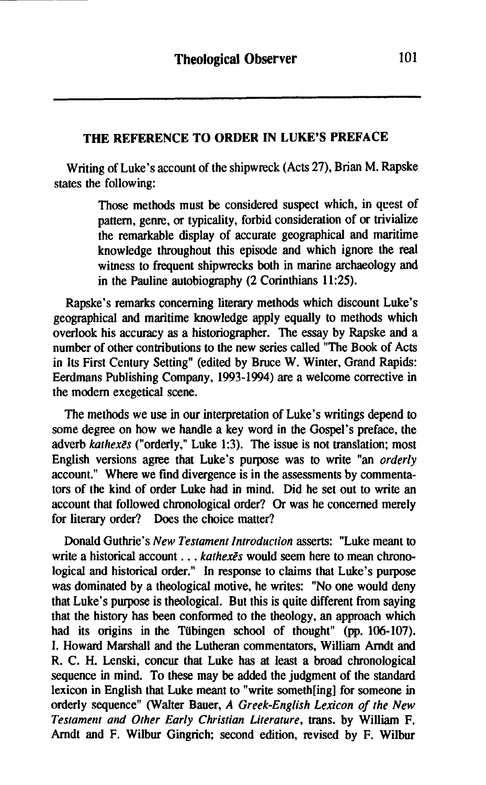#### **THE REFERENCE TO ORDER IN LUKE'S PREFACE**

Writing of Luke's account of the shipwreck (Acts 27), Brian M. Rapske states the following:

> Those methods must be considered suspect which, in quest of pattern, genre, or typicality, forbid consideration of or trivialize the remarkable display of accurate geographical and maritime knowledge throughout this episode and which ignore the real witness to frequent shipwrecks both in marine archaeology and in the Pauline autobiography (2 Corinthians **11:25).**

Rapske's remarks concerning literary methods which discount Luke's geographical and maritime knowledge apply equally to methods which overlook his accuracy **as** a historiographer. The essay by Rapske and a number of other contributions to the new series called "The Book of Acts in Its First Century Setting" (edited by Bruce W. Winter, Grand Rapids: Eerdmans Publishing Company, **1993-1994)** are a welcome corrective in the modem exegetical scene.

The methods we use in our interpretation of Luke's writings depend to some degree on how we handle a key word in the Gospel's preface, the adverb *kathexts* ("orderly," Luke **1:3).** The issue is not translation; most English versions agree that Luke's purpose was to write "an *orderly*  account." Where we find divergence is in the assessments by commentators of the kind of order Luke had in mind. Did he set out to write an account that followed chronological order? Or was he concerned merely for literary order? Does the choice matter?

Donald Guthrie's *New Testament Introduction* asserts: "Luke meant to write a historical account . . . *kathexes* would seem here to mean chronological and historical order." In response to claims that Luke's purpose was dominated by a theological motive, he writes: "No one would deny that Luke's purpose is theological. But this is quite different from saying that the history **has** been conformed to the theology, an approach which had its origins in the Tübingen school of thought" (pp. 106-107). I. Howard Marshall and the Lutheran commentators, William Arndt and R. C. H. Lenski, concur that Luke has at least a broad chronological sequence in mind. To these may be added the judgment of the standard lexicon in English that Luke meant to "write someth[ing] for someone in orderly sequence" (Walter Bauer, *A Greek-English Lexicon of the New Testament and Other Early Christian Literature,* trans. by William F. Amdt and F. Wilbur Gingrich; second edition, revised by F. Wilbur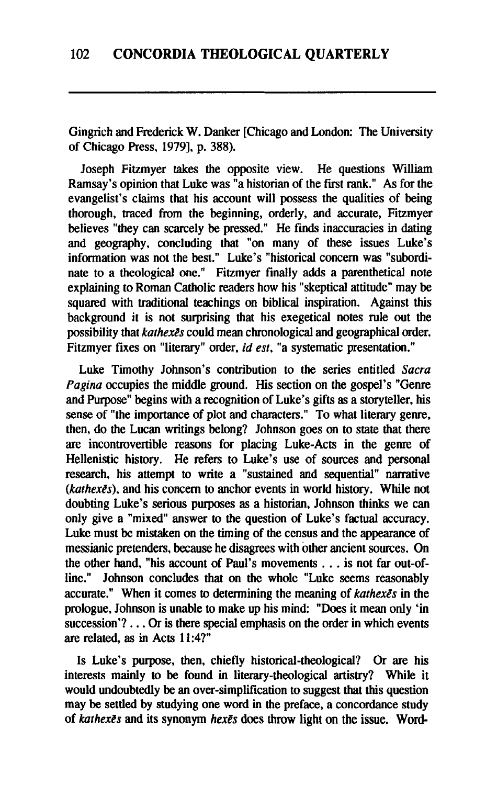Gingrich and Frederick W. Danker [Chicago and London: The University of Chicago Press, 19791, p. 388).

Joseph Fitzmyer takes the opposite view. He questions William Ramsay's opinion that Luke was "a historian of the first rank." As for the evangelist's claims that his account will possess the qualities of being thorough, traced from the beginning, orderly, and accurate, Fitzmyer believes "they can scarcely be pressed." He finds inaccuracies in dating and geography, concluding that "on many of these issues Luke's information was not the best." Luke's "historical concern was "subordinate to a theological one." Fitzmyer finally adds a parenthetical note explaining to Roman Catholic readers how his "skeptical attitude" may be squared with traditional teachings on biblical inspiration. Against this background it is not surprising that his exegetical notes rule out the possibility that **kathexes** could mean chronological and geographical order. Fitzmyer fixes on "literary" order, id **est,** "a systematic presentation."

Luke Timothy Johnson's contribution to the series entitled **Sacra Pagina** occupies the middle ground. His section on the gospel's "Genre and Purpose" begins with a recognition of Luke's gifts as a storyteller, his sense of "the importance of plot and characters." To what literary genre, then, do the Lucan writings belong? Johnson goes on to state that there are incontrovertible reasons for placing Luke-Acts in the genre of Hellenistic history. He refers to Luke's use of sources and personal research, his attempt to write a "sustained and sequential" narrative **(kathexts),** and his concern to anchor events in world history. While not doubting Luke's serious purposes as a historian, Johnson thinks we can only give a "mixed" answer to the question of Luke's factual accuracy. Luke must be mistaken on the timing of the census and the appearance of messianic pretenders, because he disagrees with other ancient sources. On the other hand, "his account of Paul's movements . . . is not far out-ofline." Johnson concludes that on the whole "Luke seems reasonably accurate." When it comes to determining the meaning of **kathexes** in the prologue, Johnson is unable to make up his mind: "Does it mean only 'in succession'? . . . Or is there special emphasis on the order in which events are related, as in Acts  $11:4?$ "

Is Luke's purpose, then, chiefly historical-theological? Or are his interests mainly to be found in literary-theological artistry? While it would undoubtedly be an over-simplification to suggest that this question may be settled by studying one word in the preface, a concordance study of **kathexEs** and its synonym **hexts** does throw light on the issue. Word-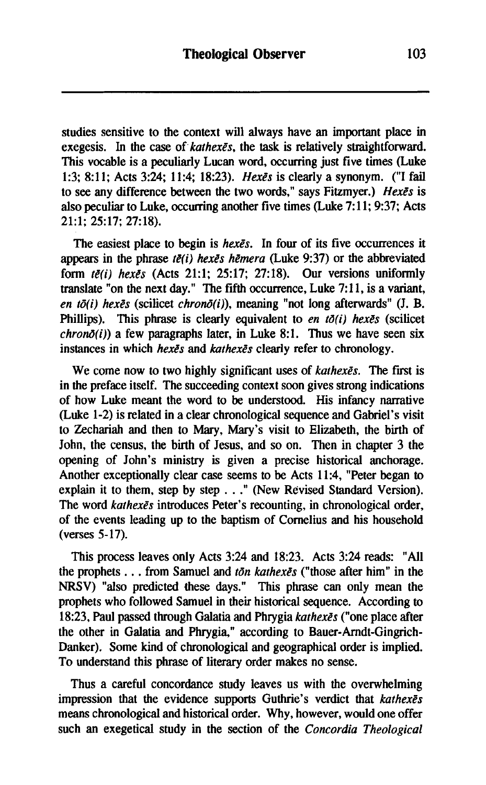studies sensitive to the context will always have an important place in exegesis. In the case of  $kathex\bar{e}s$ , the task is relatively straightforward. This vocable is a peculiarly Lucan word, occurring just five times (Luke 1:3; 8:11: Acts 3:24; 11:4; 18:23). Hexes is clearly a synonym. ("I fail to see any difference between the two words," says Fitzmyer.) Hexes is also peculiar to Luke, occurring another five times (Luke  $7:11$ ; 9:37; Acts  $21:1: 25:17: 27:18$ ).

The easiest place to begin is hexes. In four of its five occurrences it appears in the phrase  $t\bar{e}(i)$  hex $\bar{e}s$  hemera (Luke 9:37) or the abbreviated form  $t\bar{e}(i)$  hex $\bar{e}s$  (Acts 21:1; 25:17; 27:18). Our versions uniformly translate "on the next day." The fifth occurrence, Luke 7: 11, is a variant, en tō(i) hexēs (scilicet chronō(i)), meaning "not long afterwards" (J. B. Phillips). This phrase is clearly equivalent to en  $t\delta(i)$  hexes (scilicet  $chron\delta(i)$  a few paragraphs later, in Luke 8:1. Thus we have seen six instances in which hexes and kathexes clearly refer to chronology.

We come now to two highly significant uses of *kathexes*. The first is in the preface itself. The succeeding context soon gives strong indications of how Luke meant the word to be understood. His infancy narrative (Luke 1-2) is related in a clear chronological sequence and Gabriel's visit to Zechariah and then to **Mary,** Mary's visit to Elizabeth, the birth of John, the census, the birth of Jesus, and so on. Then in chapter 3 the opening of John's ministry is given a precise historical anchorage. Another exceptionally clear case seems to be Acts 11:4, "Peter began to explain it to them, step by step . . ." (New Revised Standard Version). The word kathexes introduces Peter's recounting, in chronological order, of the events leading up to the baptism of Cornelius and his household (verses 5- 17).

This process leaves only Acts 3:24 and 18:23. Acts 3:24 reads: "All the prophets . . . from Samuel and  $\tau$ *on kathexes* ("those after him" in the NRSV) "also predicted these days." This phrase can only mean the prophets who followed Samuel in their historical sequence. According to 18:23, Paul passed through Galatia and Phrygia kathexes ("one place after the other in Galatia and Phrygia," according to Bauer-Arndt-Gingrich-Danker). Some kind of chronological and geographical order is implied. To understand this phrase of literary order makes no sense.

Thus a careful concordance study leaves us with the overwhelming impression that the evidence supports Guthrie's verdict that kathexes means chronological and historical order. Why, however, would one offer such an exegetical study in the section of the Concordia Theological